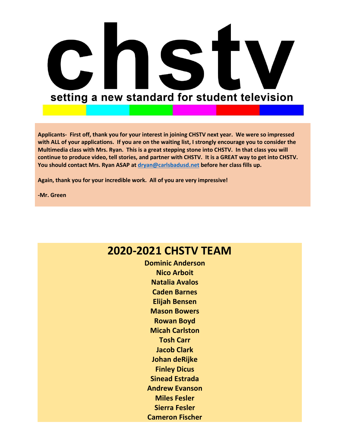

**Applicants- First off, thank you for your interest in joining CHSTV next year. We were so impressed with ALL of your applications. If you are on the waiting list, I strongly encourage you to consider the Multimedia class with Mrs. Ryan. This is a great stepping stone into CHSTV. In that class you will continue to produce video, tell stories, and partner with CHSTV. It is a GREAT way to get into CHSTV. You should contact Mrs. Ryan ASAP at [dryan@carlsbadusd.net](mailto:dryan@carlsbadusd.net) before her class fills up.**

**Again, thank you for your incredible work. All of you are very impressive!**

**-Mr. Green**

## **2020-2021 CHSTV TEAM**

**Dominic Anderson Nico Arboit Natalia Avalos Caden Barnes Elijah Bensen Mason Bowers Rowan Boyd Micah Carlston Tosh Carr Jacob Clark Johan deRijke Finley Dicus Sinead Estrada Andrew Evanson Miles Fesler Sierra Fesler Cameron Fischer**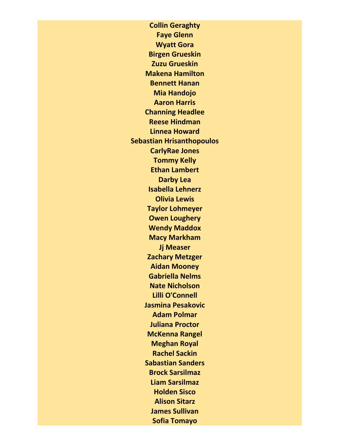**Collin Geraghty Faye Glenn Wyatt Gora Birgen Grueskin Zuzu Grueskin Makena Hamilton Bennett Hanan Mia Handojo Aaron Harris Channing Headlee Reese Hindman Linnea Howard Sebastian Hrisanthopoulos CarlyRae Jones Tommy Kelly Ethan Lambert Darby Lea Isabella Lehnerz Olivia Lewis Taylor Lohmeyer Owen Loughery Wendy Maddox Macy Markham Jj Measer Zachary Metzger Aidan Mooney Gabriella Nelms Nate Nicholson Lilli O'Connell Jasmina Pesakovic Adam Polmar Juliana Proctor McKenna Rangel Meghan Royal Rachel Sackin Sabastian Sanders Brock Sarsilmaz Liam Sarsilmaz Holden Sisco Alison Sitarz James Sullivan Sofia Tomayo**